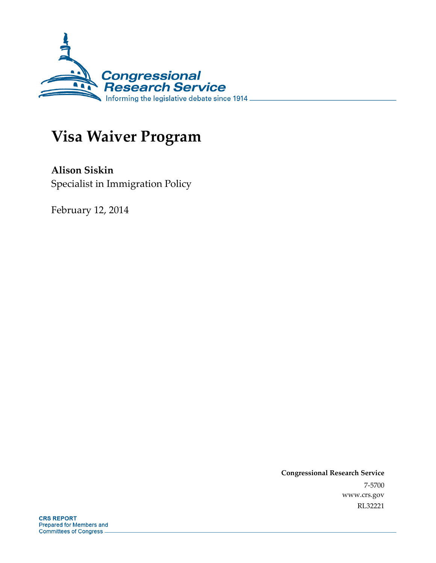

# **Visa Waiver Program**

**Alison Siskin**  Specialist in Immigration Policy

February 12, 2014

**Congressional Research Service**  7-5700 www.crs.gov RL32221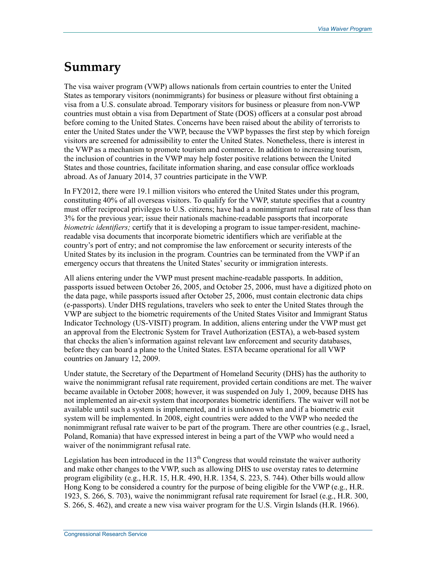## **Summary**

The visa waiver program (VWP) allows nationals from certain countries to enter the United States as temporary visitors (nonimmigrants) for business or pleasure without first obtaining a visa from a U.S. consulate abroad. Temporary visitors for business or pleasure from non-VWP countries must obtain a visa from Department of State (DOS) officers at a consular post abroad before coming to the United States. Concerns have been raised about the ability of terrorists to enter the United States under the VWP, because the VWP bypasses the first step by which foreign visitors are screened for admissibility to enter the United States. Nonetheless, there is interest in the VWP as a mechanism to promote tourism and commerce. In addition to increasing tourism, the inclusion of countries in the VWP may help foster positive relations between the United States and those countries, facilitate information sharing, and ease consular office workloads abroad. As of January 2014, 37 countries participate in the VWP.

In FY2012, there were 19.1 million visitors who entered the United States under this program, constituting 40% of all overseas visitors. To qualify for the VWP, statute specifies that a country must offer reciprocal privileges to U.S. citizens; have had a nonimmigrant refusal rate of less than 3% for the previous year; issue their nationals machine-readable passports that incorporate *biometric identifiers;* certify that it is developing a program to issue tamper-resident, machinereadable visa documents that incorporate biometric identifiers which are verifiable at the country's port of entry; and not compromise the law enforcement or security interests of the United States by its inclusion in the program. Countries can be terminated from the VWP if an emergency occurs that threatens the United States' security or immigration interests.

All aliens entering under the VWP must present machine-readable passports. In addition, passports issued between October 26, 2005, and October 25, 2006, must have a digitized photo on the data page, while passports issued after October 25, 2006, must contain electronic data chips (e-passports). Under DHS regulations, travelers who seek to enter the United States through the VWP are subject to the biometric requirements of the United States Visitor and Immigrant Status Indicator Technology (US-VISIT) program. In addition, aliens entering under the VWP must get an approval from the Electronic System for Travel Authorization (ESTA), a web-based system that checks the alien's information against relevant law enforcement and security databases, before they can board a plane to the United States. ESTA became operational for all VWP countries on January 12, 2009.

Under statute, the Secretary of the Department of Homeland Security (DHS) has the authority to waive the nonimmigrant refusal rate requirement, provided certain conditions are met. The waiver became available in October 2008; however, it was suspended on July 1, 2009, because DHS has not implemented an air-exit system that incorporates biometric identifiers. The waiver will not be available until such a system is implemented, and it is unknown when and if a biometric exit system will be implemented. In 2008, eight countries were added to the VWP who needed the nonimmigrant refusal rate waiver to be part of the program. There are other countries (e.g., Israel, Poland, Romania) that have expressed interest in being a part of the VWP who would need a waiver of the nonimmigrant refusal rate.

Legislation has been introduced in the  $113<sup>th</sup>$  Congress that would reinstate the waiver authority and make other changes to the VWP, such as allowing DHS to use overstay rates to determine program eligibility (e.g., H.R. 15, H.R. 490, H.R. 1354, S. 223, S. 744). Other bills would allow Hong Kong to be considered a country for the purpose of being eligible for the VWP (e.g., H.R. 1923, S. 266, S. 703), waive the nonimmigrant refusal rate requirement for Israel (e.g., H.R. 300, S. 266, S. 462), and create a new visa waiver program for the U.S. Virgin Islands (H.R. 1966).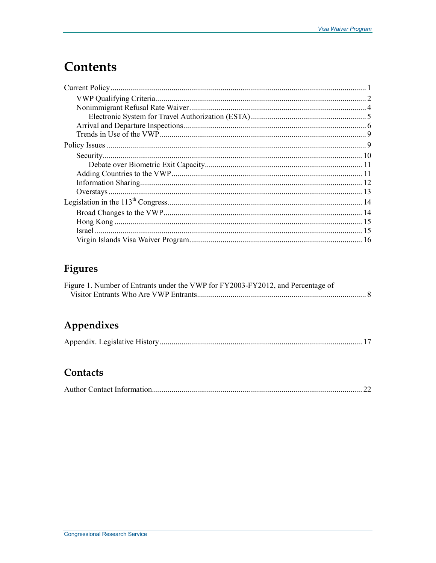# **Contents**

### Figures

| Figure 1. Number of Entrants under the VWP for FY2003-FY2012, and Percentage of |  |
|---------------------------------------------------------------------------------|--|
|                                                                                 |  |

# Appendixes

|--|--|

### Contacts

|--|--|--|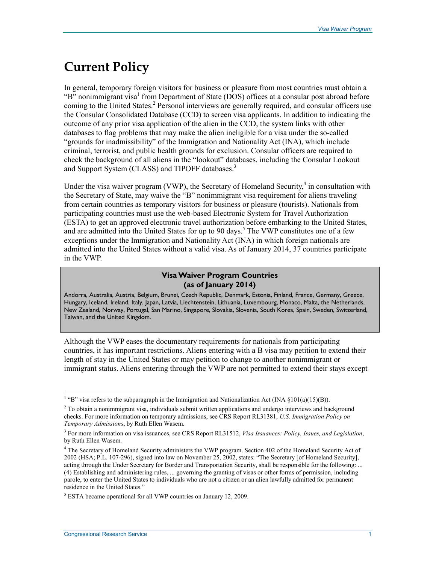## **Current Policy**

In general, temporary foreign visitors for business or pleasure from most countries must obtain a "B" nonimmigrant visa<sup>1</sup> from Department of State (DOS) offices at a consular post abroad before coming to the United States.<sup>2</sup> Personal interviews are generally required, and consular officers use the Consular Consolidated Database (CCD) to screen visa applicants. In addition to indicating the outcome of any prior visa application of the alien in the CCD, the system links with other databases to flag problems that may make the alien ineligible for a visa under the so-called "grounds for inadmissibility" of the Immigration and Nationality Act (INA), which include criminal, terrorist, and public health grounds for exclusion. Consular officers are required to check the background of all aliens in the "lookout" databases, including the Consular Lookout and Support System (CLASS) and TIPOFF databases.<sup>3</sup>

Under the visa waiver program (VWP), the Secretary of Homeland Security, $4$  in consultation with the Secretary of State, may waive the "B" nonimmigrant visa requirement for aliens traveling from certain countries as temporary visitors for business or pleasure (tourists). Nationals from participating countries must use the web-based Electronic System for Travel Authorization (ESTA) to get an approved electronic travel authorization before embarking to the United States, and are admitted into the United States for up to 90 days.<sup>5</sup> The VWP constitutes one of a few exceptions under the Immigration and Nationality Act (INA) in which foreign nationals are admitted into the United States without a valid visa. As of January 2014, 37 countries participate in the VWP.

#### **Visa Waiver Program Countries (as of January 2014)**

Andorra, Australia, Austria, Belgium, Brunei, Czech Republic, Denmark, Estonia, Finland, France, Germany, Greece, Hungary, Iceland, Ireland, Italy, Japan, Latvia, Liechtenstein, Lithuania, Luxembourg, Monaco, Malta, the Netherlands, New Zealand, Norway, Portugal, San Marino, Singapore, Slovakia, Slovenia, South Korea, Spain, Sweden, Switzerland, Taiwan, and the United Kingdom.

Although the VWP eases the documentary requirements for nationals from participating countries, it has important restrictions. Aliens entering with a B visa may petition to extend their length of stay in the United States or may petition to change to another nonimmigrant or immigrant status. Aliens entering through the VWP are not permitted to extend their stays except

<sup>&</sup>lt;sup>1</sup> "B" visa refers to the subparagraph in the Immigration and Nationalization Act (INA  $\S 101(a)(15)(B)$ ).

<sup>&</sup>lt;sup>2</sup> To obtain a nonimmigrant visa, individuals submit written applications and undergo interviews and background checks. For more information on temporary admissions, see CRS Report RL31381, *U.S. Immigration Policy on Temporary Admissions*, by Ruth Ellen Wasem.

<sup>3</sup> For more information on visa issuances, see CRS Report RL31512, *Visa Issuances: Policy, Issues, and Legislation*, by Ruth Ellen Wasem.

<sup>&</sup>lt;sup>4</sup> The Secretary of Homeland Security administers the VWP program. Section 402 of the Homeland Security Act of 2002 (HSA; P.L. 107-296), signed into law on November 25, 2002, states: "The Secretary [of Homeland Security], acting through the Under Secretary for Border and Transportation Security, shall be responsible for the following: ... (4) Establishing and administering rules, ... governing the granting of visas or other forms of permission, including parole, to enter the United States to individuals who are not a citizen or an alien lawfully admitted for permanent residence in the United States."

<sup>&</sup>lt;sup>5</sup> ESTA became operational for all VWP countries on January 12, 2009.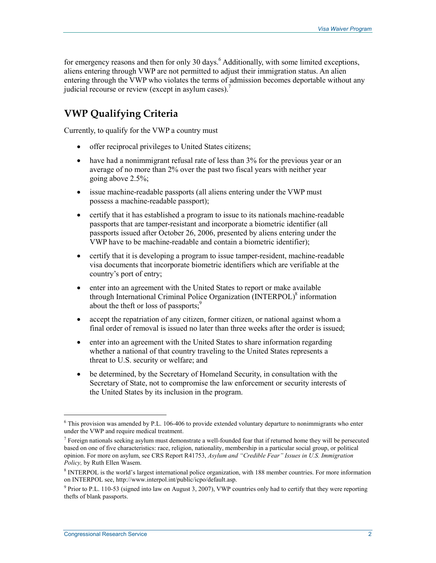for emergency reasons and then for only 30 days.<sup>6</sup> Additionally, with some limited exceptions, aliens entering through VWP are not permitted to adjust their immigration status. An alien entering through the VWP who violates the terms of admission becomes deportable without any judicial recourse or review (except in asylum cases).<sup>7</sup>

### **VWP Qualifying Criteria**

Currently, to qualify for the VWP a country must

- offer reciprocal privileges to United States citizens;
- have had a nonimmigrant refusal rate of less than 3% for the previous year or an average of no more than 2% over the past two fiscal years with neither year going above 2.5%;
- issue machine-readable passports (all aliens entering under the VWP must possess a machine-readable passport);
- certify that it has established a program to issue to its nationals machine-readable passports that are tamper-resistant and incorporate a biometric identifier (all passports issued after October 26, 2006, presented by aliens entering under the VWP have to be machine-readable and contain a biometric identifier);
- certify that it is developing a program to issue tamper-resident, machine-readable visa documents that incorporate biometric identifiers which are verifiable at the country's port of entry;
- enter into an agreement with the United States to report or make available through International Criminal Police Organization (INTERPOL)<sup>8</sup> information about the theft or loss of passports;<sup>9</sup>
- accept the repatriation of any citizen, former citizen, or national against whom a final order of removal is issued no later than three weeks after the order is issued;
- enter into an agreement with the United States to share information regarding whether a national of that country traveling to the United States represents a threat to U.S. security or welfare; and
- be determined, by the Secretary of Homeland Security, in consultation with the Secretary of State, not to compromise the law enforcement or security interests of the United States by its inclusion in the program.

<sup>&</sup>lt;sup>6</sup> This provision was amended by P.L. 106-406 to provide extended voluntary departure to nonimmigrants who enter under the VWP and require medical treatment.

 $7$  Foreign nationals seeking asylum must demonstrate a well-founded fear that if returned home they will be persecuted based on one of five characteristics: race, religion, nationality, membership in a particular social group, or political opinion. For more on asylum, see CRS Report R41753, *Asylum and "Credible Fear" Issues in U.S. Immigration Policy,* by Ruth Ellen Wasem.

<sup>&</sup>lt;sup>8</sup> INTERPOL is the world's largest international police organization, with 188 member countries. For more information on INTERPOL see, http://www.interpol.int/public/icpo/default.asp.

<sup>&</sup>lt;sup>9</sup> Prior to P.L. 110-53 (signed into law on August 3, 2007), VWP countries only had to certify that they were reporting thefts of blank passports.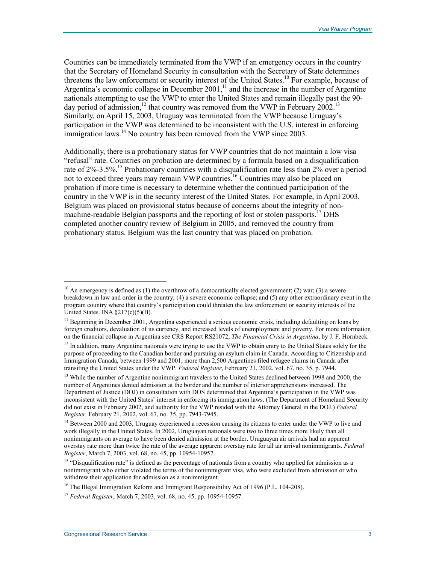Countries can be immediately terminated from the VWP if an emergency occurs in the country that the Secretary of Homeland Security in consultation with the Secretary of State determines threatens the law enforcement or security interest of the United States.<sup>10</sup> For example, because of Argentina's economic collapse in December  $2001$ ,<sup>11</sup> and the increase in the number of Argentine nationals attempting to use the VWP to enter the United States and remain illegally past the 90 day period of admission,<sup>12</sup> that country was removed from the VWP in February 2002.<sup>13</sup> Similarly, on April 15, 2003, Uruguay was terminated from the VWP because Uruguay's participation in the VWP was determined to be inconsistent with the U.S. interest in enforcing  $\frac{1}{2}$  immigration laws.<sup>14</sup> No country has been removed from the VWP since 2003.

Additionally, there is a probationary status for VWP countries that do not maintain a low visa "refusal" rate. Countries on probation are determined by a formula based on a disqualification rate of 2%-3.5%.<sup>15</sup> Probationary countries with a disqualification rate less than 2% over a period not to exceed three years may remain VWP countries.16 Countries may also be placed on probation if more time is necessary to determine whether the continued participation of the country in the VWP is in the security interest of the United States. For example, in April 2003, Belgium was placed on provisional status because of concerns about the integrity of nonmachine-readable Belgian passports and the reporting of lost or stolen passports.<sup>17</sup> DHS completed another country review of Belgium in 2005, and removed the country from probationary status. Belgium was the last country that was placed on probation.

<sup>&</sup>lt;sup>10</sup> An emergency is defined as (1) the overthrow of a democratically elected government; (2) war; (3) a severe breakdown in law and order in the country; (4) a severe economic collapse; and (5) any other extraordinary event in the program country where that country's participation could threaten the law enforcement or security interests of the United States. INA  $\S217(c)(5)(B)$ .

<sup>&</sup>lt;sup>11</sup> Beginning in December 2001, Argentina experienced a serious economic crisis, including defaulting on loans by foreign creditors, devaluation of its currency, and increased levels of unemployment and poverty. For more information on the financial collapse in Argentina see CRS Report RS21072, *The Financial Crisis in Argentina*, by J. F. Hornbeck.

 $12$  In addition, many Argentine nationals were trying to use the VWP to obtain entry to the United States solely for the purpose of proceeding to the Canadian border and pursuing an asylum claim in Canada. According to Citizenship and Immigration Canada, between 1999 and 2001, more than 2,500 Argentines filed refugee claims in Canada after transiting the United States under the VWP. *Federal Register*, February 21, 2002, vol. 67, no. 35, p. 7944.

<sup>&</sup>lt;sup>13</sup> While the number of Argentine nonimmigrant travelers to the United States declined between 1998 and 2000, the number of Argentines denied admission at the border and the number of interior apprehensions increased. The Department of Justice (DOJ) in consultation with DOS determined that Argentina's participation in the VWP was inconsistent with the United States' interest in enforcing its immigration laws. (The Department of Homeland Security did not exist in February 2002, and authority for the VWP resided with the Attorney General in the DOJ.) *Federal Register,* February 21, 2002, vol. 67, no. 35, pp. 7943-7945.

<sup>&</sup>lt;sup>14</sup> Between 2000 and 2003, Uruguay experienced a recession causing its citizens to enter under the VWP to live and work illegally in the United States. In 2002, Uruguayan nationals were two to three times more likely than all nonimmigrants on average to have been denied admission at the border. Uruguayan air arrivals had an apparent overstay rate more than twice the rate of the average apparent overstay rate for all air arrival nonimmigrants. *Federal Register*, March 7, 2003, vol. 68, no. 45, pp. 10954-10957.

<sup>&</sup>lt;sup>15</sup> "Disqualification rate" is defined as the percentage of nationals from a country who applied for admission as a nonimmigrant who either violated the terms of the nonimmigrant visa, who were excluded from admission or who withdrew their application for admission as a nonimmigrant.

<sup>&</sup>lt;sup>16</sup> The Illegal Immigration Reform and Immigrant Responsibility Act of 1996 (P.L. 104-208).

<sup>17</sup> *Federal Register*, March 7, 2003, vol. 68, no. 45, pp. 10954-10957.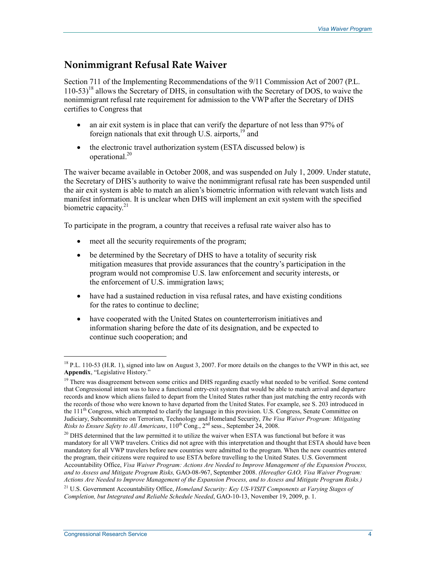#### **Nonimmigrant Refusal Rate Waiver**

Section 711 of the Implementing Recommendations of the 9/11 Commission Act of 2007 (P.L.  $110-53$ <sup>18</sup> allows the Secretary of DHS, in consultation with the Secretary of DOS, to waive the nonimmigrant refusal rate requirement for admission to the VWP after the Secretary of DHS certifies to Congress that

- an air exit system is in place that can verify the departure of not less than 97% of foreign nationals that exit through U.S. airports, $19$  and
- the electronic travel authorization system (ESTA discussed below) is operational.<sup>20</sup>

The waiver became available in October 2008, and was suspended on July 1, 2009. Under statute, the Secretary of DHS's authority to waive the nonimmigrant refusal rate has been suspended until the air exit system is able to match an alien's biometric information with relevant watch lists and manifest information. It is unclear when DHS will implement an exit system with the specified biometric capacity. $21$ 

To participate in the program, a country that receives a refusal rate waiver also has to

- meet all the security requirements of the program;
- be determined by the Secretary of DHS to have a totality of security risk mitigation measures that provide assurances that the country's participation in the program would not compromise U.S. law enforcement and security interests, or the enforcement of U.S. immigration laws;
- have had a sustained reduction in visa refusal rates, and have existing conditions for the rates to continue to decline;
- have cooperated with the United States on counterterrorism initiatives and information sharing before the date of its designation, and be expected to continue such cooperation; and

<sup>&</sup>lt;sup>18</sup> P.L. 110-53 (H.R. 1), signed into law on August 3, 2007. For more details on the changes to the VWP in this act, see **Appendix**, "Legislative History."

<sup>&</sup>lt;sup>19</sup> There was disagreement between some critics and DHS regarding exactly what needed to be verified. Some contend that Congressional intent was to have a functional entry-exit system that would be able to match arrival and departure records and know which aliens failed to depart from the United States rather than just matching the entry records with the records of those who were known to have departed from the United States. For example, see S. 203 introduced in the 111<sup>th</sup> Congress, which attempted to clarify the language in this provision. U.S. Congress, Senate Committee on Judiciary, Subcommittee on Terrorism, Technology and Homeland Security, *The Visa Waiver Program: Mitigating Risks to Ensure Safety to All Americans*, 110th Cong., 2nd sess., September 24, 2008.

<sup>&</sup>lt;sup>20</sup> DHS determined that the law permitted it to utilize the waiver when ESTA was functional but before it was mandatory for all VWP travelers. Critics did not agree with this interpretation and thought that ESTA should have been mandatory for all VWP travelers before new countries were admitted to the program. When the new countries entered the program, their citizens were required to use ESTA before travelling to the United States. U.S. Government Accountability Office, *Visa Waiver Program: Actions Are Needed to Improve Management of the Expansion Process, and to Assess and Mitigate Program Risks,* GAO-08-967, September 2008. *(Hereafter GAO, Visa Waiver Program: Actions Are Needed to Improve Management of the Expansion Process, and to Assess and Mitigate Program Risks.)*

<sup>&</sup>lt;sup>21</sup> U.S. Government Accountability Office, *Homeland Security: Key US-VISIT Components at Varying Stages of Completion, but Integrated and Reliable Schedule Needed*, GAO-10-13, November 19, 2009, p. 1.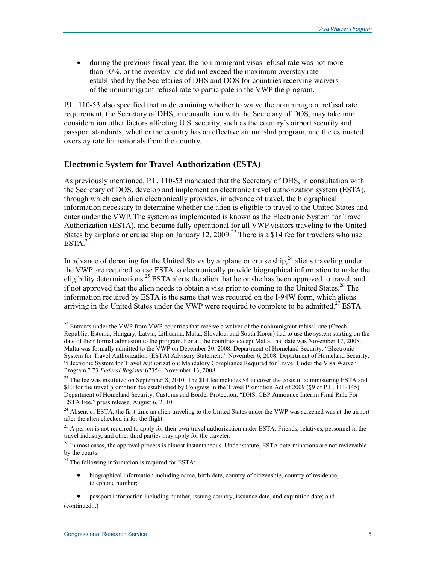• during the previous fiscal year, the nonimmigrant visas refusal rate was not more than 10%, or the overstay rate did not exceed the maximum overstay rate established by the Secretaries of DHS and DOS for countries receiving waivers of the nonimmigrant refusal rate to participate in the VWP the program.

P.L. 110-53 also specified that in determining whether to waive the nonimmigrant refusal rate requirement, the Secretary of DHS, in consultation with the Secretary of DOS, may take into consideration other factors affecting U.S. security, such as the country's airport security and passport standards, whether the country has an effective air marshal program, and the estimated overstay rate for nationals from the country.

#### **Electronic System for Travel Authorization (ESTA)**

As previously mentioned, P.L. 110-53 mandated that the Secretary of DHS, in consultation with the Secretary of DOS, develop and implement an electronic travel authorization system (ESTA), through which each alien electronically provides, in advance of travel, the biographical information necessary to determine whether the alien is eligible to travel to the United States and enter under the VWP. The system as implemented is known as the Electronic System for Travel Authorization (ESTA), and became fully operational for all VWP visitors traveling to the United States by airplane or cruise ship on January 12, 2009.<sup>22</sup> There is a \$14 fee for travelers who use  $ESTA.<sup>23</sup>$ 

In advance of departing for the United States by airplane or cruise ship, $^{24}$  aliens traveling under the VWP are required to use ESTA to electronically provide biographical information to make the eligibility determinations.<sup>25</sup> ESTA alerts the alien that he or she has been approved to travel, and if not approved that the alien needs to obtain a visa prior to coming to the United States.<sup>26</sup> The information required by ESTA is the same that was required on the I-94W form, which aliens arriving in the United States under the VWP were required to complete to be admitted.<sup>27</sup> ESTA

• biographical information including name, birth date, country of citizenship, country of residence, telephone number;

• passport information including number, issuing country, issuance date, and expiration date; and (continued...)

 $22$  Entrants under the VWP from VWP countries that receive a waiver of the nonimmigrant refusal rate (Czech Republic, Estonia, Hungary, Latvia, Lithuania, Malta, Slovakia, and South Korea) had to use the system starting on the date of their formal admission to the program. For all the countries except Malta, that date was November 17, 2008. Malta was formally admitted to the VWP on December 30, 2008. Department of Homeland Security, "Electronic System for Travel Authorization (ESTA) Advisory Statement," November 6, 2008. Department of Homeland Security, "Electronic System for Travel Authorization: Mandatory Compliance Required for Travel Under the Visa Waiver Program," 73 *Federal Register* 67354, November 13, 2008.

<sup>&</sup>lt;sup>23</sup> The fee was instituted on September 8, 2010. The \$14 fee includes \$4 to cover the costs of administering ESTA and \$10 for the travel promotion fee established by Congress in the Travel Promotion Act of 2009 (§9 of P.L. 111-145). Department of Homeland Security, Customs and Border Protection, "DHS, CBP Announce Interim Final Rule For ESTA Fee," press release, August 6, 2010.

<sup>&</sup>lt;sup>24</sup> Absent of ESTA, the first time an alien traveling to the United States under the VWP was screened was at the airport after the alien checked in for the flight.

<sup>&</sup>lt;sup>25</sup> A person is not required to apply for their own travel authorization under ESTA. Friends, relatives, personnel in the travel industry, and other third parties may apply for the traveler.

<sup>&</sup>lt;sup>26</sup> In most cases, the approval process is almost instantaneous. Under statute, ESTA determinations are not reviewable by the courts.

 $27$  The following information is required for ESTA: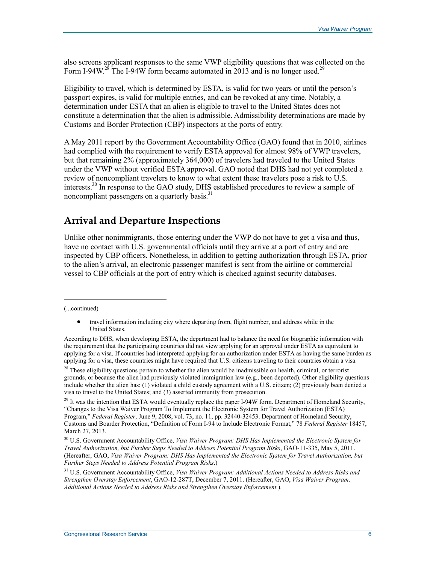also screens applicant responses to the same VWP eligibility questions that was collected on the Form I-94W.<sup>28</sup> The I-94W form became automated in 2013 and is no longer used.<sup>29</sup>

Eligibility to travel, which is determined by ESTA, is valid for two years or until the person's passport expires, is valid for multiple entries, and can be revoked at any time. Notably, a determination under ESTA that an alien is eligible to travel to the United States does not constitute a determination that the alien is admissible. Admissibility determinations are made by Customs and Border Protection (CBP) inspectors at the ports of entry.

A May 2011 report by the Government Accountability Office (GAO) found that in 2010, airlines had complied with the requirement to verify ESTA approval for almost 98% of VWP travelers, but that remaining 2% (approximately 364,000) of travelers had traveled to the United States under the VWP without verified ESTA approval. GAO noted that DHS had not yet completed a review of noncompliant travelers to know to what extent these travelers pose a risk to U.S. interests.<sup>30</sup> In response to the GAO study, DHS established procedures to review a sample of noncompliant passengers on a quarterly basis.<sup>31</sup>

#### **Arrival and Departure Inspections**

Unlike other nonimmigrants, those entering under the VWP do not have to get a visa and thus, have no contact with U.S. governmental officials until they arrive at a port of entry and are inspected by CBP officers. Nonetheless, in addition to getting authorization through ESTA, prior to the alien's arrival, an electronic passenger manifest is sent from the airline or commercial vessel to CBP officials at the port of entry which is checked against security databases.

(...continued)

<sup>•</sup> travel information including city where departing from, flight number, and address while in the United States.

According to DHS, when developing ESTA, the department had to balance the need for biographic information with the requirement that the participating countries did not view applying for an approval under ESTA as equivalent to applying for a visa. If countries had interpreted applying for an authorization under ESTA as having the same burden as applying for a visa, these countries might have required that U.S. citizens traveling to their countries obtain a visa.

 $28$  These eligibility questions pertain to whether the alien would be inadmissible on health, criminal, or terrorist grounds, or because the alien had previously violated immigration law (e.g., been deported). Other eligibility questions include whether the alien has: (1) violated a child custody agreement with a U.S. citizen; (2) previously been denied a visa to travel to the United States; and (3) asserted immunity from prosecution.

<sup>&</sup>lt;sup>29</sup> It was the intention that ESTA would eventually replace the paper I-94W form. Department of Homeland Security, "Changes to the Visa Waiver Program To Implement the Electronic System for Travel Authorization (ESTA) Program," *Federal Register*, June 9, 2008, vol. 73, no. 11, pp. 32440-32453. Department of Homeland Security, Customs and Boarder Protection, "Definition of Form I-94 to Include Electronic Format," 78 *Federal Register* 18457, March 27, 2013.

<sup>30</sup> U.S. Government Accountability Office, *Visa Waiver Program: DHS Has Implemented the Electronic System for Travel Authorization, but Further Steps Needed to Address Potential Program Risks*, GAO-11-335, May 5, 2011. (Hereafter, GAO, *Visa Waiver Program: DHS Has Implemented the Electronic System for Travel Authorization, but Further Steps Needed to Address Potential Program Risks*.)

<sup>31</sup> U.S. Government Accountability Office, *Visa Waiver Program: Additional Actions Needed to Address Risks and Strengthen Overstay Enforcement*, GAO-12-287T, December 7, 2011. (Hereafter, GAO, *Visa Waiver Program: Additional Actions Needed to Address Risks and Strengthen Overstay Enforcement.*).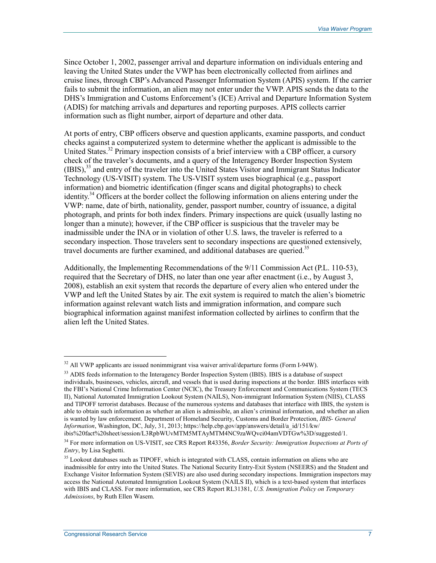Since October 1, 2002, passenger arrival and departure information on individuals entering and leaving the United States under the VWP has been electronically collected from airlines and cruise lines, through CBP's Advanced Passenger Information System (APIS) system. If the carrier fails to submit the information, an alien may not enter under the VWP. APIS sends the data to the DHS's Immigration and Customs Enforcement's (ICE) Arrival and Departure Information System (ADIS) for matching arrivals and departures and reporting purposes. APIS collects carrier information such as flight number, airport of departure and other data.

At ports of entry, CBP officers observe and question applicants, examine passports, and conduct checks against a computerized system to determine whether the applicant is admissible to the United States.<sup>32</sup> Primary inspection consists of a brief interview with a CBP officer, a cursory check of the traveler's documents, and a query of the Interagency Border Inspection System (IBIS),33 and entry of the traveler into the United States Visitor and Immigrant Status Indicator Technology (US-VISIT) system. The US-VISIT system uses biographical (e.g., passport information) and biometric identification (finger scans and digital photographs) to check identity.<sup>34</sup> Officers at the border collect the following information on aliens entering under the VWP: name, date of birth, nationality, gender, passport number, country of issuance, a digital photograph, and prints for both index finders. Primary inspections are quick (usually lasting no longer than a minute); however, if the CBP officer is suspicious that the traveler may be inadmissible under the INA or in violation of other U.S. laws, the traveler is referred to a secondary inspection. Those travelers sent to secondary inspections are questioned extensively, travel documents are further examined, and additional databases are queried.<sup>35</sup>

Additionally, the Implementing Recommendations of the 9/11 Commission Act (P.L. 110-53), required that the Secretary of DHS, no later than one year after enactment (i.e., by August 3, 2008), establish an exit system that records the departure of every alien who entered under the VWP and left the United States by air. The exit system is required to match the alien's biometric information against relevant watch lists and immigration information, and compare such biographical information against manifest information collected by airlines to confirm that the alien left the United States.

 $32$  All VWP applicants are issued nonimmigrant visa waiver arrival/departure forms (Form I-94W).

<sup>&</sup>lt;sup>33</sup> ADIS feeds information to the Interagency Border Inspection System (IBIS). IBIS is a database of suspect individuals, businesses, vehicles, aircraft, and vessels that is used during inspections at the border. IBIS interfaces with the FBI's National Crime Information Center (NCIC), the Treasury Enforcement and Communications System (TECS II), National Automated Immigration Lookout System (NAILS), Non-immigrant Information System (NIIS), CLASS and TIPOFF terrorist databases. Because of the numerous systems and databases that interface with IBIS, the system is able to obtain such information as whether an alien is admissible, an alien's criminal information, and whether an alien is wanted by law enforcement. Department of Homeland Security, Customs and Border Protection, *IBIS- General Information*, Washington, DC, July, 31, 2013; https://help.cbp.gov/app/answers/detail/a\_id/151/kw/ ibis%20fact%20sheet/session/L3RpbWUvMTM5MTAyMTM4NC9zaWQvci04amVDTGw%3D/suggested/1.

<sup>34</sup> For more information on US-VISIT, see CRS Report R43356, *Border Security: Immigration Inspections at Ports of Entry*, by Lisa Seghetti.

<sup>&</sup>lt;sup>35</sup> Lookout databases such as TIPOFF, which is integrated with CLASS, contain information on aliens who are inadmissible for entry into the United States. The National Security Entry-Exit System (NSEERS) and the Student and Exchange Visitor Information System (SEVIS) are also used during secondary inspections. Immigration inspectors may access the National Automated Immigration Lookout System (NAILS II), which is a text-based system that interfaces with IBIS and CLASS. For more information, see CRS Report RL31381, *U.S. Immigration Policy on Temporary Admissions*, by Ruth Ellen Wasem.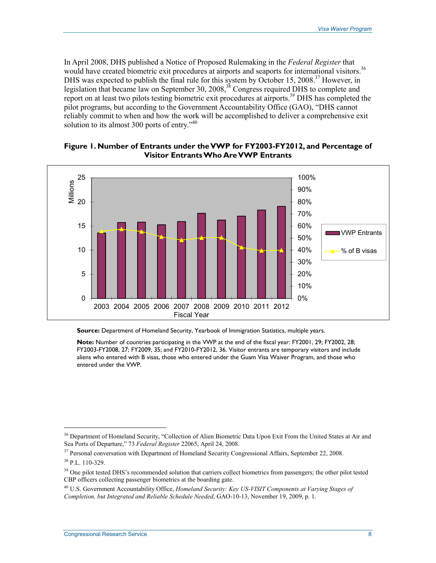In April 2008, DHS published a Notice of Proposed Rulemaking in the *Federal Register* that would have created biometric exit procedures at airports and seaports for international visitors.<sup>36</sup> DHS was expected to publish the final rule for this system by October 15, 2008.<sup>37</sup> However, in legislation that became law on September 30, 2008,<sup>38</sup> Congress required DHS to complete and report on at least two pilots testing biometric exit procedures at airports.<sup>39</sup> DHS has completed the pilot programs, but according to the Government Accountability Office (GAO), "DHS cannot reliably commit to when and how the work will be accomplished to deliver a comprehensive exit solution to its almost 300 ports of entry." $40$ 



#### **Figure 1. Number of Entrants under the VWP for FY2003-FY2012, and Percentage of Visitor Entrants Who Are VWP Entrants**

**Source:** Department of Homeland Security, Yearbook of Immigration Statistics, multiple years.

**Note:** Number of countries participating in the VWP at the end of the fiscal year: FY2001, 29; FY2002, 28; FY2003-FY2008, 27; FY2009, 35; and FY2010-FY2012, 36. Visitor entrants are temporary visitors and include aliens who entered with B visas, those who entered under the Guam Visa Waiver Program, and those who entered under the VWP.

<sup>&</sup>lt;sup>36</sup> Department of Homeland Security, "Collection of Alien Biometric Data Upon Exit From the United States at Air and Sea Ports of Departure," 73 *Federal Register* 22065, April 24, 2008.

<sup>&</sup>lt;sup>37</sup> Personal conversation with Department of Homeland Security Congressional Affairs, September 22, 2008.

<sup>38</sup> P.L. 110-329.

<sup>&</sup>lt;sup>39</sup> One pilot tested DHS's recommended solution that carriers collect biometrics from passengers; the other pilot tested CBP officers collecting passenger biometrics at the boarding gate.

<sup>40</sup> U.S. Government Accountability Office, *Homeland Security: Key US-VISIT Components at Varying Stages of Completion, but Integrated and Reliable Schedule Needed*, GAO-10-13, November 19, 2009, p. 1.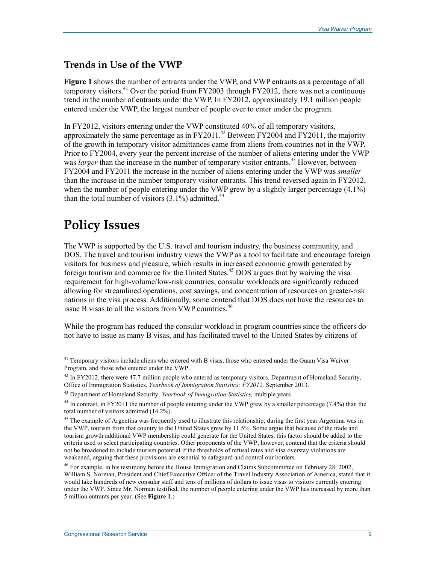### **Trends in Use of the VWP**

**Figure 1** shows the number of entrants under the VWP, and VWP entrants as a percentage of all temporary visitors.<sup>41</sup> Over the period from FY2003 through FY2012, there was not a continuous trend in the number of entrants under the VWP. In FY2012, approximately 19.1 million people entered under the VWP, the largest number of people ever to enter under the program.

In FY2012, visitors entering under the VWP constituted 40% of all temporary visitors, approximately the same percentage as in FY2011.<sup>42</sup> Between FY2004 and FY2011, the majority of the growth in temporary visitor admittances came from aliens from countries not in the VWP. Prior to FY2004, every year the percent increase of the number of aliens entering under the VWP was *larger* than the increase in the number of temporary visitor entrants.<sup>43</sup> However, between FY2004 and FY2011 the increase in the number of aliens entering under the VWP was *smaller* than the increase in the number temporary visitor entrants. This trend reversed again in FY2012, when the number of people entering under the VWP grew by a slightly larger percentage  $(4.1\%)$ than the total number of visitors  $(3.1\%)$  admitted.<sup>44</sup>

# **Policy Issues**

1

The VWP is supported by the U.S. travel and tourism industry, the business community, and DOS. The travel and tourism industry views the VWP as a tool to facilitate and encourage foreign visitors for business and pleasure, which results in increased economic growth generated by foreign tourism and commerce for the United States.<sup>45</sup> DOS argues that by waiving the visa requirement for high-volume/low-risk countries, consular workloads are significantly reduced allowing for streamlined operations, cost savings, and concentration of resources on greater-risk nations in the visa process. Additionally, some contend that DOS does not have the resources to issue B visas to all the visitors from VWP countries.<sup>46</sup>

While the program has reduced the consular workload in program countries since the officers do not have to issue as many B visas, and has facilitated travel to the United States by citizens of

<sup>&</sup>lt;sup>41</sup> Temporary visitors include aliens who entered with B visas, those who entered under the Guam Visa Waiver Program, and those who entered under the VWP.

 $42$  In FY2012, there were 47.7 million people who entered as temporary visitors. Department of Homeland Security, Office of Immigration Statistics, *Yearbook of Immigration Statistics: FY2012,* September 2013.

<sup>43</sup> Department of Homeland Security, *Yearbook of Immigration Statistics,* multiple years*.*

<sup>&</sup>lt;sup>44</sup> In contrast, in FY2011 the number of people entering under the VWP grew by a smaller percentage (7.4%) than the total number of visitors admitted (14.2%).

 $45$  The example of Argentina was frequently used to illustrate this relationship; during the first year Argentina was in the VWP, tourism from that country to the United States grew by 11.5%. Some argue that because of the trade and tourism growth additional VWP membership could generate for the United States, this factor should be added to the criteria used to select participating countries. Other proponents of the VWP, however, contend that the criteria should not be broadened to include tourism potential if the thresholds of refusal rates and visa overstay violations are weakened, arguing that these provisions are essential to safeguard and control our borders.

<sup>46</sup> For example, in his testimony before the House Immigration and Claims Subcommittee on February 28, 2002, William S. Norman, President and Chief Executive Officer of the Travel Industry Association of America, stated that it would take hundreds of new consular staff and tens of millions of dollars to issue visas to visitors currently entering under the VWP. Since Mr. Norman testified, the number of people entering under the VWP has increased by more than 5 million entrants per year. (See **Figure 1**.)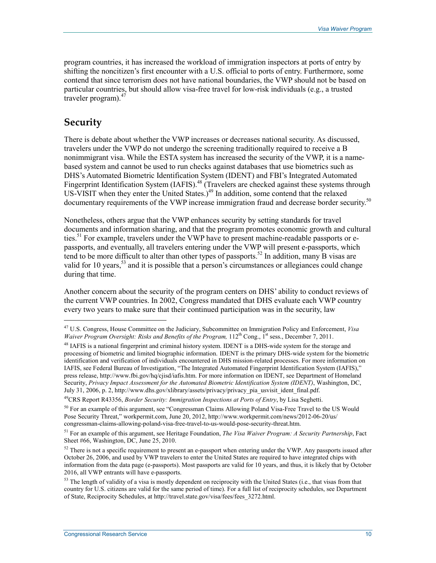program countries, it has increased the workload of immigration inspectors at ports of entry by shifting the noncitizen's first encounter with a U.S. official to ports of entry. Furthermore, some contend that since terrorism does not have national boundaries, the VWP should not be based on particular countries, but should allow visa-free travel for low-risk individuals (e.g., a trusted traveler program). $47$ 

#### **Security**

1

There is debate about whether the VWP increases or decreases national security. As discussed, travelers under the VWP do not undergo the screening traditionally required to receive a B nonimmigrant visa. While the ESTA system has increased the security of the VWP, it is a namebased system and cannot be used to run checks against databases that use biometrics such as DHS's Automated Biometric Identification System (IDENT) and FBI's Integrated Automated Fingerprint Identification System (IAFIS).<sup>48</sup> (Travelers are checked against these systems through US-VISIT when they enter the United States.) $49$  In addition, some contend that the relaxed documentary requirements of the VWP increase immigration fraud and decrease border security.<sup>50</sup>

Nonetheless, others argue that the VWP enhances security by setting standards for travel documents and information sharing, and that the program promotes economic growth and cultural ties.<sup>51</sup> For example, travelers under the VWP have to present machine-readable passports or epassports, and eventually, all travelers entering under the VWP will present e-passports, which tend to be more difficult to alter than other types of passports.<sup>52</sup> In addition, many B visas are valid for 10 years,  $53$  and it is possible that a person's circumstances or allegiances could change during that time.

Another concern about the security of the program centers on DHS' ability to conduct reviews of the current VWP countries. In 2002, Congress mandated that DHS evaluate each VWP country every two years to make sure that their continued participation was in the security, law

<sup>47</sup> U.S. Congress, House Committee on the Judiciary, Subcommittee on Immigration Policy and Enforcement, *Visa Waiver Program Oversight: Risks and Benefits of the Program,* 112<sup>th</sup> Cong., 1<sup>st</sup> sess., December 7, 2011.

<sup>&</sup>lt;sup>48</sup> IAFIS is a national fingerprint and criminal history system. IDENT is a DHS-wide system for the storage and processing of biometric and limited biographic information. IDENT is the primary DHS-wide system for the biometric identification and verification of individuals encountered in DHS mission-related processes. For more information on IAFIS, see Federal Bureau of Investigation, "The Integrated Automated Fingerprint Identification System (IAFIS)," press release, http://www.fbi.gov/hq/cjisd/iafis.htm. For more information on IDENT, see Department of Homeland Security, *Privacy Impact Assessment for the Automated Biometric Identification System (IDENT)*, Washington, DC, July 31, 2006, p. 2, http://www.dhs.gov/xlibrary/assets/privacy/privacy\_pia\_usvisit\_ident\_final.pdf.

<sup>49</sup>CRS Report R43356, *Border Security: Immigration Inspections at Ports of Entry*, by Lisa Seghetti.

<sup>&</sup>lt;sup>50</sup> For an example of this argument, see "Congressman Claims Allowing Poland Visa-Free Travel to the US Would Pose Security Threat," workpermit.com, June 20, 2012, http://www.workpermit.com/news/2012-06-20/us/ congressman-claims-allowing-poland-visa-free-travel-to-us-would-pose-security-threat.htm.

<sup>51</sup> For an example of this argument, see Heritage Foundation, *The Visa Waiver Program: A Security Partnership*, Fact Sheet #66, Washington, DC, June 25, 2010.

 $52$  There is not a specific requirement to present an e-passport when entering under the VWP. Any passports issued after October 26, 2006, and used by VWP travelers to enter the United States are required to have integrated chips with information from the data page (e-passports). Most passports are valid for 10 years, and thus, it is likely that by October 2016, all VWP entrants will have e-passports.

<sup>&</sup>lt;sup>53</sup> The length of validity of a visa is mostly dependent on reciprocity with the United States (i.e., that visas from that country for U.S. citizens are valid for the same period of time). For a full list of reciprocity schedules, see Department of State, Reciprocity Schedules, at http://travel.state.gov/visa/fees/fees\_3272.html.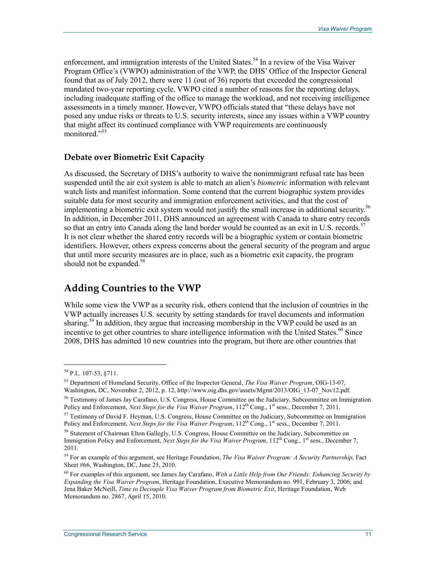enforcement, and immigration interests of the United States.<sup>54</sup> In a review of the Visa Waiver Program Office's (VWPO) administration of the VWP, the DHS' Office of the Inspector General found that as of July 2012, there were 11 (out of 36) reports that exceeded the congressional mandated two-year reporting cycle. VWPO cited a number of reasons for the reporting delays, including inadequate staffing of the office to manage the workload, and not receiving intelligence assessments in a timely manner. However, VWPO officials stated that "these delays have not posed any undue risks or threats to U.S. security interests, since any issues within a VWP country that might affect its continued compliance with VWP requirements are continuously monitored<sup>"55</sup>

#### **Debate over Biometric Exit Capacity**

As discussed, the Secretary of DHS's authority to waive the nonimmigrant refusal rate has been suspended until the air exit system is able to match an alien's *biometric* information with relevant watch lists and manifest information. Some contend that the current biographic system provides suitable data for most security and immigration enforcement activities, and that the cost of implementing a biometric exit system would not justify the small increase in additional security.<sup>56</sup> In addition, in December 2011, DHS announced an agreement with Canada to share entry records so that an entry into Canada along the land border would be counted as an exit in U.S. records.<sup>57</sup> It is not clear whether the shared entry records will be a biographic system or contain biometric identifiers. However, others express concerns about the general security of the program and argue that until more security measures are in place, such as a biometric exit capacity, the program should not be expanded. $58$ 

#### **Adding Countries to the VWP**

While some view the VWP as a security risk, others contend that the inclusion of countries in the VWP actually increases U.S. security by setting standards for travel documents and information sharing.<sup>59</sup> In addition, they argue that increasing membership in the VWP could be used as an incentive to get other countries to share intelligence information with the United States. $^{60}$  Since 2008, DHS has admitted 10 new countries into the program, but there are other countries that

<sup>54</sup> P.L. 107-53, §711.

<sup>55</sup> Department of Homeland Security, Office of the Inspector General, *The Visa Waiver Program*, OIG-13-07, Washington, DC, November 2, 2012, p. 12, http://www.oig.dhs.gov/assets/Mgmt/2013/OIG\_13-07\_Nov12.pdf.

<sup>&</sup>lt;sup>56</sup> Testimony of James Jay Carafano, U.S. Congress, House Committee on the Judiciary, Subcommittee on Immigration Policy and Enforcement, *Next Steps for the Visa Waiver Program*, 112<sup>th</sup> Cong., 1<sup>st</sup> sess., December 7, 2011.

 $57$  Testimony of David F. Heyman, U.S. Congress, House Committee on the Judiciary, Subcommittee on Immigration Policy and Enforcement, *Next Steps for the Visa Waiver Program*, 112<sup>th</sup> Cong., 1<sup>st</sup> sess., December 7, 2011.

<sup>&</sup>lt;sup>58</sup> Statement of Chairman Elton Gallegly, U.S. Congress, House Committee on the Judiciary, Subcommittee on Immigration Policy and Enforcement, *Next Steps for the Visa Waiver Program*, 112<sup>th</sup> Cong., 1<sup>st</sup> sess., December 7, 2011.

<sup>59</sup> For an example of this argument, see Heritage Foundation, *The Visa Waiver Program: A Security Partnership*, Fact Sheet #66, Washington, DC, June 25, 2010.

<sup>60</sup> For examples of this argument, see James Jay Carafano, *With a Little Help from Our Friends: Enhancing Security by Expanding the Visa Waiver Program*, Heritage Foundation, Executive Memorandum no. 991, February 3, 2006; and Jena Baker McNeill, *Time to Decouple Visa Waiver Program from Biometric Exit*, Heritage Foundation, Web Memorandum no. 2867, April 15, 2010.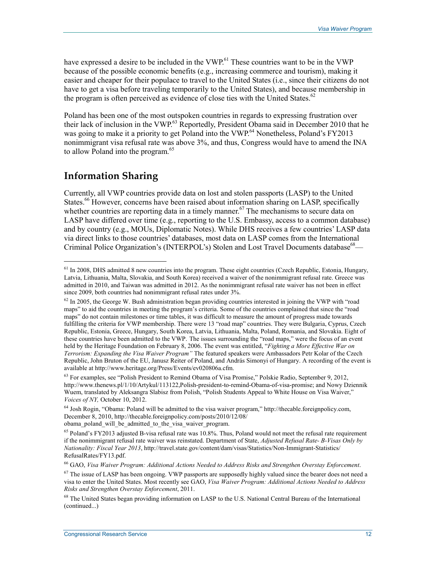have expressed a desire to be included in the  $VWP<sup>61</sup>$ . These countries want to be in the VWP because of the possible economic benefits (e.g., increasing commerce and tourism), making it easier and cheaper for their populace to travel to the United States (i.e., since their citizens do not have to get a visa before traveling temporarily to the United States), and because membership in the program is often perceived as evidence of close ties with the United States.<sup>62</sup>

Poland has been one of the most outspoken countries in regards to expressing frustration over their lack of inclusion in the VWP.<sup>63</sup> Reportedly, President Obama said in December 2010 that he was going to make it a priority to get Poland into the VWP.<sup>64</sup> Nonetheless, Poland's FY2013 nonimmigrant visa refusal rate was above 3%, and thus, Congress would have to amend the INA to allow Poland into the program.<sup>65</sup>

#### **Information Sharing**

1

Currently, all VWP countries provide data on lost and stolen passports (LASP) to the United States.<sup>66</sup> However, concerns have been raised about information sharing on LASP, specifically whether countries are reporting data in a timely manner.<sup>67</sup> The mechanisms to secure data on LASP have differed over time (e.g., reporting to the U.S. Embassy, access to a common database) and by country (e.g., MOUs, Diplomatic Notes). While DHS receives a few countries' LASP data via direct links to those countries' databases, most data on LASP comes from the International Criminal Police Organization's (INTERPOL's) Stolen and Lost Travel Documents database<sup>68</sup>—

<sup>&</sup>lt;sup>61</sup> In 2008, DHS admitted 8 new countries into the program. These eight countries (Czech Republic, Estonia, Hungary, Latvia, Lithuania, Malta, Slovakia, and South Korea) received a waiver of the nonimmigrant refusal rate. Greece was admitted in 2010, and Taiwan was admitted in 2012. As the nonimmigrant refusal rate waiver has not been in effect since 2009, both countries had nonimmigrant refusal rates under 3%.

 $62$  In 2005, the George W. Bush administration began providing countries interested in joining the VWP with "road maps" to aid the countries in meeting the program's criteria. Some of the countries complained that since the "road maps" do not contain milestones or time tables, it was difficult to measure the amount of progress made towards fulfilling the criteria for VWP membership. There were 13 "road map" countries. They were Bulgaria, Cyprus, Czech Republic, Estonia, Greece, Hungary, South Korea, Latvia, Lithuania, Malta, Poland, Romania, and Slovakia. Eight of these countries have been admitted to the VWP. The issues surrounding the "road maps," were the focus of an event held by the Heritage Foundation on February 8, 2006. The event was entitled, "*Fighting a More Effective War on Terrorism: Expanding the Visa Waiver Program"* The featured speakers were Ambassadors Petr Kolar of the Czech Republic, John Bruton of the EU, Janusz Reiter of Poland, and András Simonyi of Hungary. A recording of the event is available at http://www.heritage.org/Press/Events/ev020806a.cfm.

<sup>&</sup>lt;sup>63</sup> For examples, see "Polish President to Remind Obama of Visa Promise," Polskie Radio, September 9, 2012, http://www.thenews.pl/1/10/Artykul/113122,Polish-president-to-remind-Obama-of-visa-promise; and Nowy Dziennik Wuem, translated by Aleksangra Slabisz from Polish, "Polish Students Appeal to White House on Visa Waiver," *Voices of NY,* October 10, 2012.

<sup>64</sup> Josh Rogin, "Obama: Poland will be admitted to the visa waiver program," http://thecable.foreignpolicy.com, December 8, 2010, http://thecable.foreignpolicy.com/posts/2010/12/08/

obama poland will be admitted to the visa waiver program.

 $65$  Poland's FY2013 adjusted B-visa refusal rate was 10.8%. Thus, Poland would not meet the refusal rate requirement if the nonimmigrant refusal rate waiver was reinstated. Department of State, *Adjusted Refusal Rate- B-Visas Only by Nationality: Fiscal Year 2013*, http://travel.state.gov/content/dam/visas/Statistics/Non-Immigrant-Statistics/ RefusalRates/FY13.pdf.

<sup>66</sup> GAO, *Visa Waiver Program: Additional Actions Needed to Address Risks and Strengthen Overstay Enforcement*.

 $67$  The issue of LASP has been ongoing. VWP passports are supposedly highly valued since the bearer does not need a visa to enter the United States. Most recently see GAO, *Visa Waiver Program: Additional Actions Needed to Address Risks and Strengthen Overstay Enforcement*, 2011.

<sup>&</sup>lt;sup>68</sup> The United States began providing information on LASP to the U.S. National Central Bureau of the International (continued...)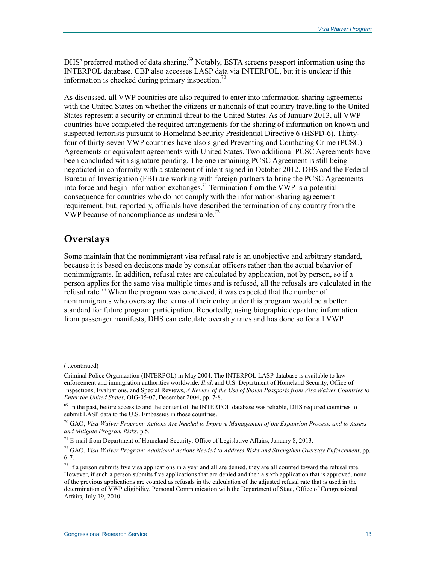DHS' preferred method of data sharing.<sup>69</sup> Notably, ESTA screens passport information using the INTERPOL database. CBP also accesses LASP data via INTERPOL, but it is unclear if this information is checked during primary inspection.<sup>70</sup>

As discussed, all VWP countries are also required to enter into information-sharing agreements with the United States on whether the citizens or nationals of that country travelling to the United States represent a security or criminal threat to the United States. As of January 2013, all VWP countries have completed the required arrangements for the sharing of information on known and suspected terrorists pursuant to Homeland Security Presidential Directive 6 (HSPD-6). Thirtyfour of thirty-seven VWP countries have also signed Preventing and Combating Crime (PCSC) Agreements or equivalent agreements with United States. Two additional PCSC Agreements have been concluded with signature pending. The one remaining PCSC Agreement is still being negotiated in conformity with a statement of intent signed in October 2012. DHS and the Federal Bureau of Investigation (FBI) are working with foreign partners to bring the PCSC Agreements into force and begin information exchanges.71 Termination from the VWP is a potential consequence for countries who do not comply with the information-sharing agreement requirement, but, reportedly, officials have described the termination of any country from the VWP because of noncompliance as undesirable.<sup>72</sup>

#### **Overstays**

Some maintain that the nonimmigrant visa refusal rate is an unobjective and arbitrary standard, because it is based on decisions made by consular officers rather than the actual behavior of nonimmigrants. In addition, refusal rates are calculated by application, not by person, so if a person applies for the same visa multiple times and is refused, all the refusals are calculated in the refusal rate.<sup>73</sup> When the program was conceived, it was expected that the number of nonimmigrants who overstay the terms of their entry under this program would be a better standard for future program participation. Reportedly, using biographic departure information from passenger manifests, DHS can calculate overstay rates and has done so for all VWP

<sup>(...</sup>continued)

Criminal Police Organization (INTERPOL) in May 2004. The INTERPOL LASP database is available to law enforcement and immigration authorities worldwide. *Ibid*, and U.S. Department of Homeland Security, Office of Inspections, Evaluations, and Special Reviews, *A Review of the Use of Stolen Passports from Visa Waiver Countries to Enter the United States*, OIG-05-07, December 2004, pp. 7-8.

<sup>&</sup>lt;sup>69</sup> In the past, before access to and the content of the INTERPOL database was reliable, DHS required countries to submit LASP data to the U.S. Embassies in those countries.

<sup>70</sup> GAO, *Visa Waiver Program: Actions Are Needed to Improve Management of the Expansion Process, and to Assess and Mitigate Program Risks*, p.5.

 $71$  E-mail from Department of Homeland Security, Office of Legislative Affairs, January 8, 2013.

<sup>72</sup> GAO, *Visa Waiver Program: Additional Actions Needed to Address Risks and Strengthen Overstay Enforcement*, pp. 6-7.

 $<sup>73</sup>$  If a person submits five visa applications in a year and all are denied, they are all counted toward the refusal rate.</sup> However, if such a person submits five applications that are denied and then a sixth application that is approved, none of the previous applications are counted as refusals in the calculation of the adjusted refusal rate that is used in the determination of VWP eligibility. Personal Communication with the Department of State, Office of Congressional Affairs, July 19, 2010.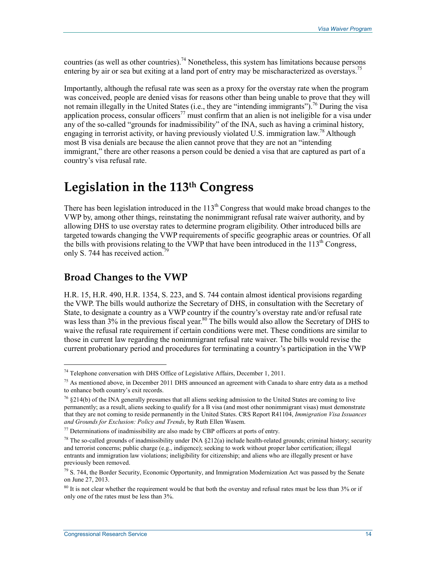countries (as well as other countries).<sup>74</sup> Nonetheless, this system has limitations because persons entering by air or sea but exiting at a land port of entry may be mischaracterized as overstays.<sup>75</sup>

Importantly, although the refusal rate was seen as a proxy for the overstay rate when the program was conceived, people are denied visas for reasons other than being unable to prove that they will not remain illegally in the United States (i.e., they are "intending immigrants").<sup>76</sup> During the visa application process, consular officers<sup>77</sup> must confirm that an alien is not ineligible for a visa under any of the so-called "grounds for inadmissibility" of the INA, such as having a criminal history, engaging in terrorist activity, or having previously violated U.S. immigration law.<sup>78</sup> Although most B visa denials are because the alien cannot prove that they are not an "intending immigrant," there are other reasons a person could be denied a visa that are captured as part of a country's visa refusal rate.

## **Legislation in the 113th Congress**

There has been legislation introduced in the  $113<sup>th</sup>$  Congress that would make broad changes to the VWP by, among other things, reinstating the nonimmigrant refusal rate waiver authority, and by allowing DHS to use overstay rates to determine program eligibility. Other introduced bills are targeted towards changing the VWP requirements of specific geographic areas or countries. Of all the bills with provisions relating to the VWP that have been introduced in the 113<sup>th</sup> Congress, only S. 744 has received action.<sup>79</sup>

#### **Broad Changes to the VWP**

H.R. 15, H.R. 490, H.R. 1354, S. 223, and S. 744 contain almost identical provisions regarding the VWP. The bills would authorize the Secretary of DHS, in consultation with the Secretary of State, to designate a country as a VWP country if the country's overstay rate and/or refusal rate was less than 3% in the previous fiscal year.<sup>80</sup> The bills would also allow the Secretary of DHS to waive the refusal rate requirement if certain conditions were met. These conditions are similar to those in current law regarding the nonimmigrant refusal rate waiver. The bills would revise the current probationary period and procedures for terminating a country's participation in the VWP

 $74$  Telephone conversation with DHS Office of Legislative Affairs, December 1, 2011.

<sup>&</sup>lt;sup>75</sup> As mentioned above, in December 2011 DHS announced an agreement with Canada to share entry data as a method to enhance both country's exit records.

<sup>76 §214(</sup>b) of the INA generally presumes that all aliens seeking admission to the United States are coming to live permanently; as a result, aliens seeking to qualify for a B visa (and most other nonimmigrant visas) must demonstrate that they are not coming to reside permanently in the United States. CRS Report R41104, *Immigration Visa Issuances and Grounds for Exclusion: Policy and Trends*, by Ruth Ellen Wasem.

 $77$  Determinations of inadmissibility are also made by CBP officers at ports of entry.

 $78$  The so-called grounds of inadmissibility under INA  $\S212(a)$  include health-related grounds; criminal history; security and terrorist concerns; public charge (e.g., indigence); seeking to work without proper labor certification; illegal entrants and immigration law violations; ineligibility for citizenship; and aliens who are illegally present or have previously been removed.

 $^{79}$  S. 744, the Border Security, Economic Opportunity, and Immigration Modernization Act was passed by the Senate on June 27, 2013.

 $80$  It is not clear whether the requirement would be that both the overstay and refusal rates must be less than  $3\%$  or if only one of the rates must be less than 3%.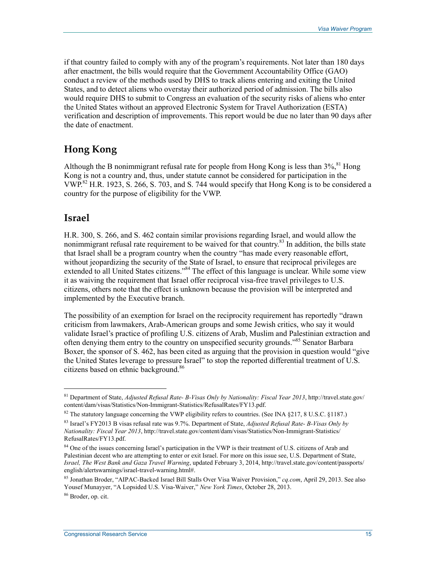if that country failed to comply with any of the program's requirements. Not later than 180 days after enactment, the bills would require that the Government Accountability Office (GAO) conduct a review of the methods used by DHS to track aliens entering and exiting the United States, and to detect aliens who overstay their authorized period of admission. The bills also would require DHS to submit to Congress an evaluation of the security risks of aliens who enter the United States without an approved Electronic System for Travel Authorization (ESTA) verification and description of improvements. This report would be due no later than 90 days after the date of enactment.

#### **Hong Kong**

Although the B nonimmigrant refusal rate for people from Hong Kong is less than  $3\%$ <sup>81</sup> Hong Kong is not a country and, thus, under statute cannot be considered for participation in the VWP.82 H.R. 1923, S. 266, S. 703, and S. 744 would specify that Hong Kong is to be considered a country for the purpose of eligibility for the VWP.

#### **Israel**

H.R. 300, S. 266, and S. 462 contain similar provisions regarding Israel, and would allow the nonimmigrant refusal rate requirement to be waived for that country.<sup>83</sup> In addition, the bills state that Israel shall be a program country when the country "has made every reasonable effort, without jeopardizing the security of the State of Israel, to ensure that reciprocal privileges are extended to all United States citizens."<sup>84</sup> The effect of this language is unclear. While some view it as waiving the requirement that Israel offer reciprocal visa-free travel privileges to U.S. citizens, others note that the effect is unknown because the provision will be interpreted and implemented by the Executive branch.

The possibility of an exemption for Israel on the reciprocity requirement has reportedly "drawn criticism from lawmakers, Arab-American groups and some Jewish critics, who say it would validate Israel's practice of profiling U.S. citizens of Arab, Muslim and Palestinian extraction and often denying them entry to the country on unspecified security grounds."<sup>85</sup> Senator Barbara Boxer, the sponsor of S. 462, has been cited as arguing that the provision in question would "give the United States leverage to pressure Israel" to stop the reported differential treatment of U.S. citizens based on ethnic background.<sup>86</sup>

<sup>81</sup> Department of State, *Adjusted Refusal Rate- B-Visas Only by Nationality: Fiscal Year 2013*, http://travel.state.gov/ content/dam/visas/Statistics/Non-Immigrant-Statistics/RefusalRates/FY13.pdf.

<sup>&</sup>lt;sup>82</sup> The statutory language concerning the VWP eligibility refers to countries. (See INA §217, 8 U.S.C. §1187.)

<sup>83</sup> Israel's FY2013 B visas refusal rate was 9.7%. Department of State, *Adjusted Refusal Rate- B-Visas Only by Nationality: Fiscal Year 2013*, http://travel.state.gov/content/dam/visas/Statistics/Non-Immigrant-Statistics/ RefusalRates/FY13.pdf.

<sup>&</sup>lt;sup>84</sup> One of the issues concerning Israel's participation in the VWP is their treatment of U.S. citizens of Arab and Palestinian decent who are attempting to enter or exit Israel. For more on this issue see, U.S. Department of State, *Israel, The West Bank and Gaza Travel Warning*, updated February 3, 2014, http://travel.state.gov/content/passports/ english/alertswarnings/israel-travel-warning.html#.

<sup>85</sup> Jonathan Broder, "AIPAC-Backed Israel Bill Stalls Over Visa Waiver Provision," *cq.com*, April 29, 2013. See also Yousef Munayyer, "A Lopsided U.S. Visa-Waiver," *New York Times*, October 28, 2013.

<sup>86</sup> Broder, op. cit.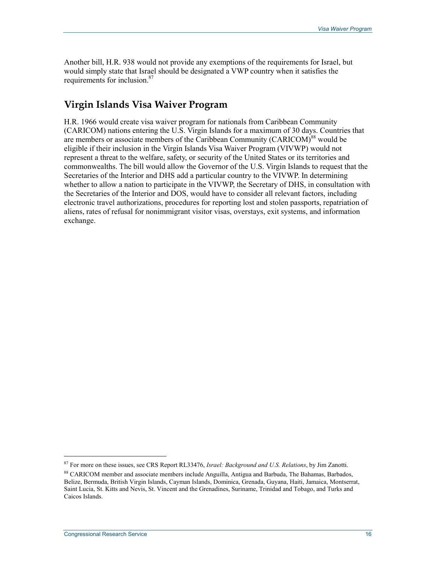Another bill, H.R. 938 would not provide any exemptions of the requirements for Israel, but would simply state that Israel should be designated a VWP country when it satisfies the requirements for inclusion.<sup>87</sup>

### **Virgin Islands Visa Waiver Program**

H.R. 1966 would create visa waiver program for nationals from Caribbean Community (CARICOM) nations entering the U.S. Virgin Islands for a maximum of 30 days. Countries that are members or associate members of the Caribbean Community (CARICOM)<sup>88</sup> would be eligible if their inclusion in the Virgin Islands Visa Waiver Program (VIVWP) would not represent a threat to the welfare, safety, or security of the United States or its territories and commonwealths. The bill would allow the Governor of the U.S. Virgin Islands to request that the Secretaries of the Interior and DHS add a particular country to the VIVWP. In determining whether to allow a nation to participate in the VIVWP, the Secretary of DHS, in consultation with the Secretaries of the Interior and DOS, would have to consider all relevant factors, including electronic travel authorizations, procedures for reporting lost and stolen passports, repatriation of aliens, rates of refusal for nonimmigrant visitor visas, overstays, exit systems, and information exchange.

<sup>87</sup> For more on these issues, see CRS Report RL33476, *Israel: Background and U.S. Relations*, by Jim Zanotti.

<sup>&</sup>lt;sup>88</sup> CARICOM member and associate members include Anguilla, Antigua and Barbuda, The Bahamas, Barbados, Belize, Bermuda, British Virgin Islands, Cayman Islands, Dominica, Grenada, Guyana, Haiti, Jamaica, Montserrat, Saint Lucia, St. Kitts and Nevis, St. Vincent and the Grenadines, Suriname, Trinidad and Tobago, and Turks and Caicos Islands.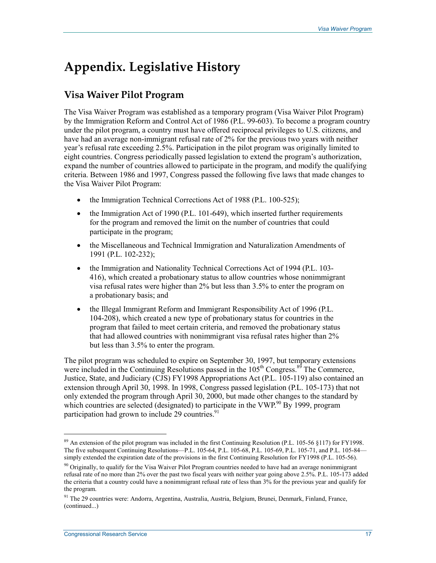# **Appendix. Legislative History**

### **Visa Waiver Pilot Program**

The Visa Waiver Program was established as a temporary program (Visa Waiver Pilot Program) by the Immigration Reform and Control Act of 1986 (P.L. 99-603). To become a program country under the pilot program, a country must have offered reciprocal privileges to U.S. citizens, and have had an average non-immigrant refusal rate of 2% for the previous two years with neither year's refusal rate exceeding 2.5%. Participation in the pilot program was originally limited to eight countries. Congress periodically passed legislation to extend the program's authorization, expand the number of countries allowed to participate in the program, and modify the qualifying criteria. Between 1986 and 1997, Congress passed the following five laws that made changes to the Visa Waiver Pilot Program:

- the Immigration Technical Corrections Act of 1988 (P.L. 100-525);
- the Immigration Act of 1990 (P.L. 101-649), which inserted further requirements for the program and removed the limit on the number of countries that could participate in the program;
- the Miscellaneous and Technical Immigration and Naturalization Amendments of 1991 (P.L. 102-232);
- the Immigration and Nationality Technical Corrections Act of 1994 (P.L. 103-416), which created a probationary status to allow countries whose nonimmigrant visa refusal rates were higher than 2% but less than 3.5% to enter the program on a probationary basis; and
- the Illegal Immigrant Reform and Immigrant Responsibility Act of 1996 (P.L. 104-208), which created a new type of probationary status for countries in the program that failed to meet certain criteria, and removed the probationary status that had allowed countries with nonimmigrant visa refusal rates higher than 2% but less than 3.5% to enter the program.

The pilot program was scheduled to expire on September 30, 1997, but temporary extensions were included in the Continuing Resolutions passed in the  $105<sup>th</sup>$  Congress.<sup>89</sup> The Commerce, Justice, State, and Judiciary (CJS) FY1998 Appropriations Act (P.L. 105-119) also contained an extension through April 30, 1998. In 1998, Congress passed legislation (P.L. 105-173) that not only extended the program through April 30, 2000, but made other changes to the standard by which countries are selected (designated) to participate in the VWP. $90$  By 1999, program participation had grown to include 29 countries. $91$ 

<sup>&</sup>lt;sup>89</sup> An extension of the pilot program was included in the first Continuing Resolution (P.L. 105-56 §117) for FY1998. The five subsequent Continuing Resolutions—P.L. 105-64, P.L. 105-68, P.L. 105-69, P.L. 105-71, and P.L. 105-84 simply extended the expiration date of the provisions in the first Continuing Resolution for FY1998 (P.L. 105-56).

 $90$  Originally, to qualify for the Visa Waiver Pilot Program countries needed to have had an average nonimmigrant refusal rate of no more than 2% over the past two fiscal years with neither year going above 2.5%. P.L. 105-173 added the criteria that a country could have a nonimmigrant refusal rate of less than 3% for the previous year and qualify for the program.

<sup>91</sup> The 29 countries were: Andorra, Argentina, Australia, Austria, Belgium, Brunei, Denmark, Finland, France, (continued...)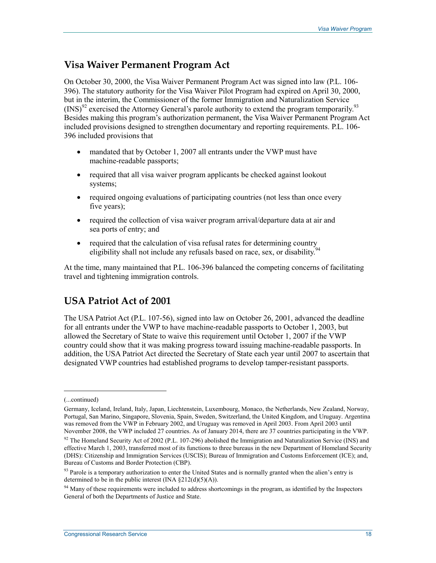#### **Visa Waiver Permanent Program Act**

On October 30, 2000, the Visa Waiver Permanent Program Act was signed into law (P.L. 106- 396). The statutory authority for the Visa Waiver Pilot Program had expired on April 30, 2000, but in the interim, the Commissioner of the former Immigration and Naturalization Service  $(INS)^{92}$  exercised the Attorney General's parole authority to extend the program temporarily.<sup>93</sup> Besides making this program's authorization permanent, the Visa Waiver Permanent Program Act included provisions designed to strengthen documentary and reporting requirements. P.L. 106- 396 included provisions that

- mandated that by October 1, 2007 all entrants under the VWP must have machine-readable passports;
- required that all visa waiver program applicants be checked against lookout systems;
- required ongoing evaluations of participating countries (not less than once every five years);
- required the collection of visa waiver program arrival/departure data at air and sea ports of entry; and
- required that the calculation of visa refusal rates for determining country eligibility shall not include any refusals based on race, sex, or disability.<sup>5</sup>

At the time, many maintained that P.L. 106-396 balanced the competing concerns of facilitating travel and tightening immigration controls.

### **USA Patriot Act of 2001**

The USA Patriot Act (P.L. 107-56), signed into law on October 26, 2001, advanced the deadline for all entrants under the VWP to have machine-readable passports to October 1, 2003, but allowed the Secretary of State to waive this requirement until October 1, 2007 if the VWP country could show that it was making progress toward issuing machine-readable passports. In addition, the USA Patriot Act directed the Secretary of State each year until 2007 to ascertain that designated VWP countries had established programs to develop tamper-resistant passports.

<sup>(...</sup>continued)

Germany, Iceland, Ireland, Italy, Japan, Liechtenstein, Luxembourg, Monaco, the Netherlands, New Zealand, Norway, Portugal, San Marino, Singapore, Slovenia, Spain, Sweden, Switzerland, the United Kingdom, and Uruguay. Argentina was removed from the VWP in February 2002, and Uruguay was removed in April 2003. From April 2003 until November 2008, the VWP included 27 countries. As of January 2014, there are 37 countries participating in the VWP.

<sup>&</sup>lt;sup>92</sup> The Homeland Security Act of 2002 (P.L. 107-296) abolished the Immigration and Naturalization Service (INS) and effective March 1, 2003, transferred most of its functions to three bureaus in the new Department of Homeland Security (DHS): Citizenship and Immigration Services (USCIS); Bureau of Immigration and Customs Enforcement (ICE); and, Bureau of Customs and Border Protection (CBP).

<sup>&</sup>lt;sup>93</sup> Parole is a temporary authorization to enter the United States and is normally granted when the alien's entry is determined to be in the public interest (INA  $\S212(d)(5)(A)$ ).

<sup>&</sup>lt;sup>94</sup> Many of these requirements were included to address shortcomings in the program, as identified by the Inspectors General of both the Departments of Justice and State.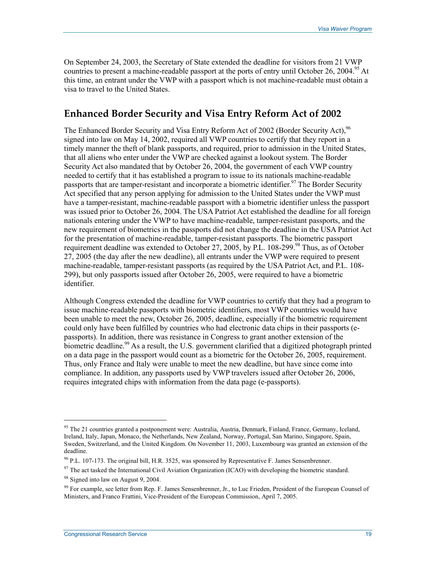On September 24, 2003, the Secretary of State extended the deadline for visitors from 21 VWP countries to present a machine-readable passport at the ports of entry until October 26, 2004.<sup>95</sup> At this time, an entrant under the VWP with a passport which is not machine-readable must obtain a visa to travel to the United States.

#### **Enhanced Border Security and Visa Entry Reform Act of 2002**

The Enhanced Border Security and Visa Entry Reform Act of 2002 (Border Security Act), <sup>96</sup> signed into law on May 14, 2002, required all VWP countries to certify that they report in a timely manner the theft of blank passports, and required, prior to admission in the United States, that all aliens who enter under the VWP are checked against a lookout system. The Border Security Act also mandated that by October 26, 2004, the government of each VWP country needed to certify that it has established a program to issue to its nationals machine-readable passports that are tamper-resistant and incorporate a biometric identifier.<sup>97</sup> The Border Security Act specified that any person applying for admission to the United States under the VWP must have a tamper-resistant, machine-readable passport with a biometric identifier unless the passport was issued prior to October 26, 2004. The USA Patriot Act established the deadline for all foreign nationals entering under the VWP to have machine-readable, tamper-resistant passports, and the new requirement of biometrics in the passports did not change the deadline in the USA Patriot Act for the presentation of machine-readable, tamper-resistant passports. The biometric passport requirement deadline was extended to October 27, 2005, by P.L. 108-299.<sup>98</sup> Thus, as of October 27, 2005 (the day after the new deadline), all entrants under the VWP were required to present machine-readable, tamper-resistant passports (as required by the USA Patriot Act, and P.L. 108- 299), but only passports issued after October 26, 2005, were required to have a biometric identifier.

Although Congress extended the deadline for VWP countries to certify that they had a program to issue machine-readable passports with biometric identifiers, most VWP countries would have been unable to meet the new, October 26, 2005, deadline, especially if the biometric requirement could only have been fulfilled by countries who had electronic data chips in their passports (epassports). In addition, there was resistance in Congress to grant another extension of the biometric deadline.<sup>99</sup> As a result, the U.S. government clarified that a digitized photograph printed on a data page in the passport would count as a biometric for the October 26, 2005, requirement. Thus, only France and Italy were unable to meet the new deadline, but have since come into compliance. In addition, any passports used by VWP travelers issued after October 26, 2006, requires integrated chips with information from the data page (e-passports).

<sup>&</sup>lt;sup>95</sup> The 21 countries granted a postponement were: Australia, Austria, Denmark, Finland, France, Germany, Iceland, Ireland, Italy, Japan, Monaco, the Netherlands, New Zealand, Norway, Portugal, San Marino, Singapore, Spain, Sweden, Switzerland, and the United Kingdom. On November 11, 2003, Luxembourg was granted an extension of the deadline.

<sup>96</sup> P.L. 107-173. The original bill, H.R. 3525, was sponsored by Representative F. James Sensenbrenner.

 $97$  The act tasked the International Civil Aviation Organization (ICAO) with developing the biometric standard.

<sup>&</sup>lt;sup>98</sup> Signed into law on August 9, 2004.

 $99$  For example, see letter from Rep. F. James Sensenbrenner, Jr., to Luc Frieden, President of the European Counsel of Ministers, and Franco Frattini, Vice-President of the European Commission, April 7, 2005.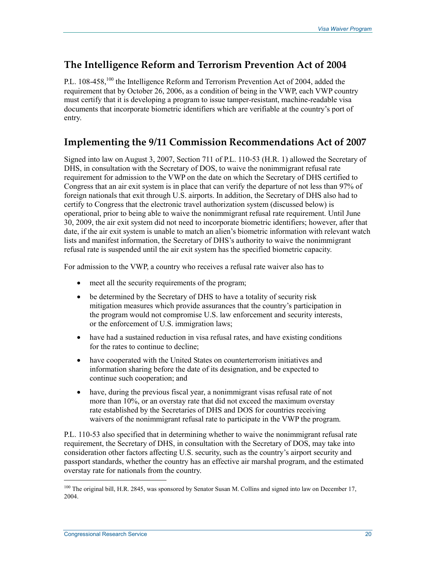### **The Intelligence Reform and Terrorism Prevention Act of 2004**

P.L. 108-458,<sup>100</sup> the Intelligence Reform and Terrorism Prevention Act of 2004, added the requirement that by October 26, 2006, as a condition of being in the VWP, each VWP country must certify that it is developing a program to issue tamper-resistant, machine-readable visa documents that incorporate biometric identifiers which are verifiable at the country's port of entry.

### **Implementing the 9/11 Commission Recommendations Act of 2007**

Signed into law on August 3, 2007, Section 711 of P.L. 110-53 (H.R. 1) allowed the Secretary of DHS, in consultation with the Secretary of DOS, to waive the nonimmigrant refusal rate requirement for admission to the VWP on the date on which the Secretary of DHS certified to Congress that an air exit system is in place that can verify the departure of not less than 97% of foreign nationals that exit through U.S. airports. In addition, the Secretary of DHS also had to certify to Congress that the electronic travel authorization system (discussed below) is operational, prior to being able to waive the nonimmigrant refusal rate requirement. Until June 30, 2009, the air exit system did not need to incorporate biometric identifiers; however, after that date, if the air exit system is unable to match an alien's biometric information with relevant watch lists and manifest information, the Secretary of DHS's authority to waive the nonimmigrant refusal rate is suspended until the air exit system has the specified biometric capacity.

For admission to the VWP, a country who receives a refusal rate waiver also has to

- meet all the security requirements of the program;
- be determined by the Secretary of DHS to have a totality of security risk mitigation measures which provide assurances that the country's participation in the program would not compromise U.S. law enforcement and security interests, or the enforcement of U.S. immigration laws;
- have had a sustained reduction in visa refusal rates, and have existing conditions for the rates to continue to decline;
- have cooperated with the United States on counterterrorism initiatives and information sharing before the date of its designation, and be expected to continue such cooperation; and
- have, during the previous fiscal year, a nonimmigrant visas refusal rate of not more than 10%, or an overstay rate that did not exceed the maximum overstay rate established by the Secretaries of DHS and DOS for countries receiving waivers of the nonimmigrant refusal rate to participate in the VWP the program.

P.L. 110-53 also specified that in determining whether to waive the nonimmigrant refusal rate requirement, the Secretary of DHS, in consultation with the Secretary of DOS, may take into consideration other factors affecting U.S. security, such as the country's airport security and passport standards, whether the country has an effective air marshal program, and the estimated overstay rate for nationals from the country.

<sup>&</sup>lt;sup>100</sup> The original bill, H.R. 2845, was sponsored by Senator Susan M. Collins and signed into law on December 17, 2004.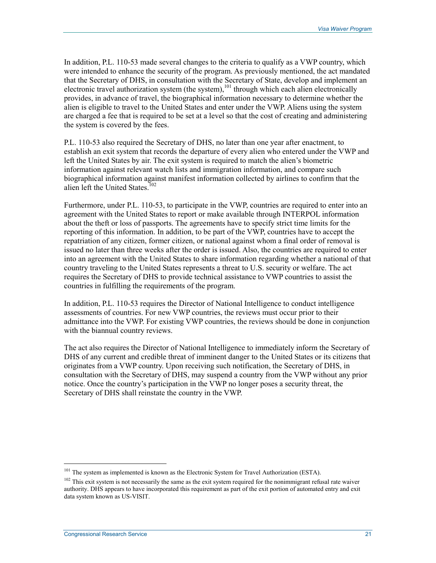In addition, P.L. 110-53 made several changes to the criteria to qualify as a VWP country, which were intended to enhance the security of the program. As previously mentioned, the act mandated that the Secretary of DHS, in consultation with the Secretary of State, develop and implement an electronic travel authorization system (the system),  $\frac{101}{101}$  through which each alien electronically provides, in advance of travel, the biographical information necessary to determine whether the alien is eligible to travel to the United States and enter under the VWP. Aliens using the system are charged a fee that is required to be set at a level so that the cost of creating and administering the system is covered by the fees.

P.L. 110-53 also required the Secretary of DHS, no later than one year after enactment, to establish an exit system that records the departure of every alien who entered under the VWP and left the United States by air. The exit system is required to match the alien's biometric information against relevant watch lists and immigration information, and compare such biographical information against manifest information collected by airlines to confirm that the alien left the United States.<sup>102</sup>

Furthermore, under P.L. 110-53, to participate in the VWP, countries are required to enter into an agreement with the United States to report or make available through INTERPOL information about the theft or loss of passports. The agreements have to specify strict time limits for the reporting of this information. In addition, to be part of the VWP, countries have to accept the repatriation of any citizen, former citizen, or national against whom a final order of removal is issued no later than three weeks after the order is issued. Also, the countries are required to enter into an agreement with the United States to share information regarding whether a national of that country traveling to the United States represents a threat to U.S. security or welfare. The act requires the Secretary of DHS to provide technical assistance to VWP countries to assist the countries in fulfilling the requirements of the program.

In addition, P.L. 110-53 requires the Director of National Intelligence to conduct intelligence assessments of countries. For new VWP countries, the reviews must occur prior to their admittance into the VWP. For existing VWP countries, the reviews should be done in conjunction with the biannual country reviews.

The act also requires the Director of National Intelligence to immediately inform the Secretary of DHS of any current and credible threat of imminent danger to the United States or its citizens that originates from a VWP country. Upon receiving such notification, the Secretary of DHS, in consultation with the Secretary of DHS, may suspend a country from the VWP without any prior notice. Once the country's participation in the VWP no longer poses a security threat, the Secretary of DHS shall reinstate the country in the VWP.

<sup>&</sup>lt;sup>101</sup> The system as implemented is known as the Electronic System for Travel Authorization (ESTA).

<sup>&</sup>lt;sup>102</sup> This exit system is not necessarily the same as the exit system required for the nonimmigrant refusal rate waiver authority. DHS appears to have incorporated this requirement as part of the exit portion of automated entry and exit data system known as US-VISIT.